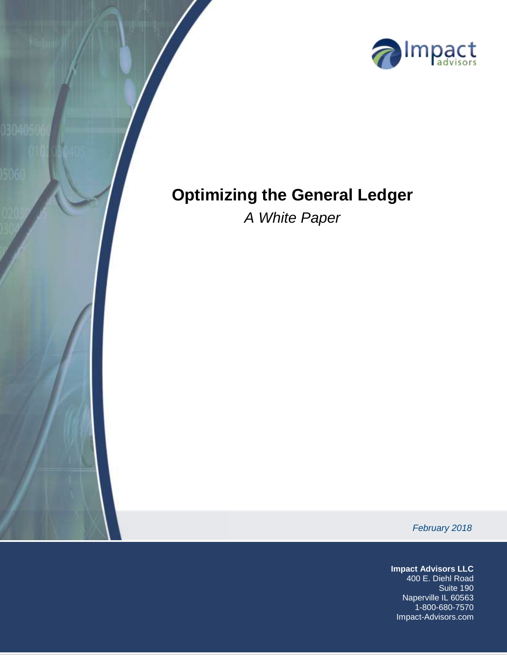

# **Optimizing the General Ledger**

*A White Paper*

*February 2018*

**Impact Advisors LLC**

400 E. Diehl Road Suite 190 Naperville IL 60563 1-800-680-7570 Impact-Advisors.com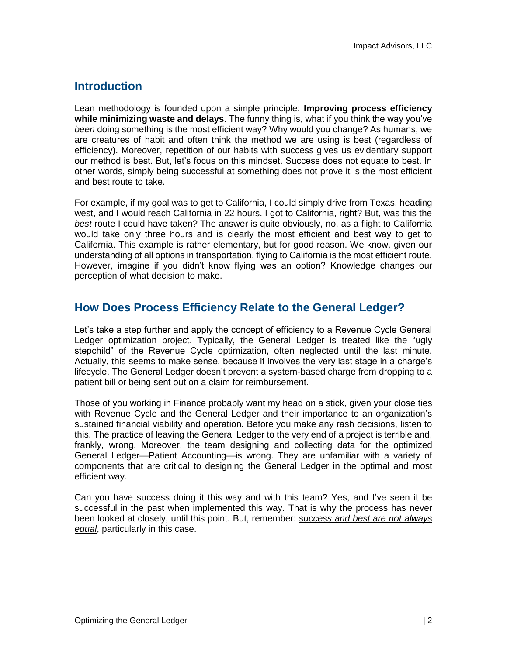# **Introduction**

Lean methodology is founded upon a simple principle: **Improving process efficiency while minimizing waste and delays**. The funny thing is, what if you think the way you've *been* doing something is the most efficient way? Why would you change? As humans, we are creatures of habit and often think the method we are using is best (regardless of efficiency). Moreover, repetition of our habits with success gives us evidentiary support our method is best. But, let's focus on this mindset. Success does not equate to best. In other words, simply being successful at something does not prove it is the most efficient and best route to take.

For example, if my goal was to get to California, I could simply drive from Texas, heading west, and I would reach California in 22 hours. I got to California, right? But, was this the *best* route I could have taken? The answer is quite obviously, no, as a flight to California would take only three hours and is clearly the most efficient and best way to get to California. This example is rather elementary, but for good reason. We know, given our understanding of all options in transportation, flying to California is the most efficient route. However, imagine if you didn't know flying was an option? Knowledge changes our perception of what decision to make.

# **How Does Process Efficiency Relate to the General Ledger?**

Let's take a step further and apply the concept of efficiency to a Revenue Cycle General Ledger optimization project. Typically, the General Ledger is treated like the "ugly stepchild" of the Revenue Cycle optimization, often neglected until the last minute. Actually, this seems to make sense, because it involves the very last stage in a charge's lifecycle. The General Ledger doesn't prevent a system-based charge from dropping to a patient bill or being sent out on a claim for reimbursement.

Those of you working in Finance probably want my head on a stick, given your close ties with Revenue Cycle and the General Ledger and their importance to an organization's sustained financial viability and operation. Before you make any rash decisions, listen to this. The practice of leaving the General Ledger to the very end of a project is terrible and, frankly, wrong. Moreover, the team designing and collecting data for the optimized General Ledger—Patient Accounting—is wrong. They are unfamiliar with a variety of components that are critical to designing the General Ledger in the optimal and most efficient way.

Can you have success doing it this way and with this team? Yes, and I've seen it be successful in the past when implemented this way. That is why the process has never been looked at closely, until this point. But, remember: *success and best are not always equal*, particularly in this case.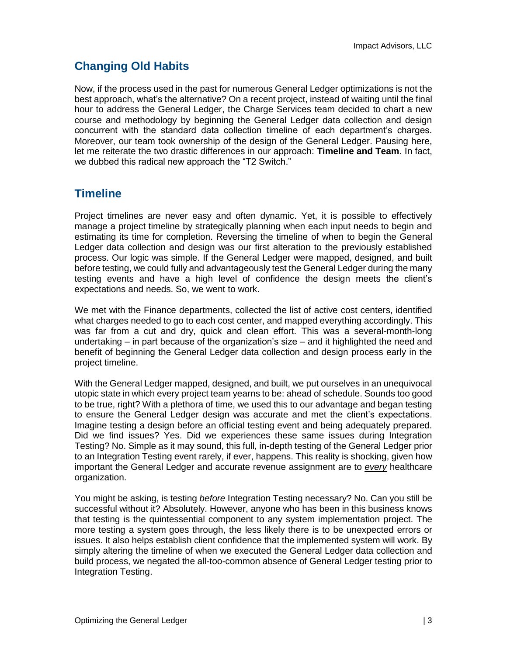# **Changing Old Habits**

Now, if the process used in the past for numerous General Ledger optimizations is not the best approach, what's the alternative? On a recent project, instead of waiting until the final hour to address the General Ledger, the Charge Services team decided to chart a new course and methodology by beginning the General Ledger data collection and design concurrent with the standard data collection timeline of each department's charges. Moreover, our team took ownership of the design of the General Ledger. Pausing here, let me reiterate the two drastic differences in our approach: **Timeline and Team**. In fact, we dubbed this radical new approach the "T2 Switch."

# **Timeline**

Project timelines are never easy and often dynamic. Yet, it is possible to effectively manage a project timeline by strategically planning when each input needs to begin and estimating its time for completion. Reversing the timeline of when to begin the General Ledger data collection and design was our first alteration to the previously established process. Our logic was simple. If the General Ledger were mapped, designed, and built before testing, we could fully and advantageously test the General Ledger during the many testing events and have a high level of confidence the design meets the client's expectations and needs. So, we went to work.

We met with the Finance departments, collected the list of active cost centers, identified what charges needed to go to each cost center, and mapped everything accordingly. This was far from a cut and dry, quick and clean effort. This was a several-month-long undertaking – in part because of the organization's size – and it highlighted the need and benefit of beginning the General Ledger data collection and design process early in the project timeline.

With the General Ledger mapped, designed, and built, we put ourselves in an unequivocal utopic state in which every project team yearns to be: ahead of schedule. Sounds too good to be true, right? With a plethora of time, we used this to our advantage and began testing to ensure the General Ledger design was accurate and met the client's expectations. Imagine testing a design before an official testing event and being adequately prepared. Did we find issues? Yes. Did we experiences these same issues during Integration Testing? No. Simple as it may sound, this full, in-depth testing of the General Ledger prior to an Integration Testing event rarely, if ever, happens. This reality is shocking, given how important the General Ledger and accurate revenue assignment are to *every* healthcare organization.

You might be asking, is testing *before* Integration Testing necessary? No. Can you still be successful without it? Absolutely. However, anyone who has been in this business knows that testing is the quintessential component to any system implementation project. The more testing a system goes through, the less likely there is to be unexpected errors or issues. It also helps establish client confidence that the implemented system will work. By simply altering the timeline of when we executed the General Ledger data collection and build process, we negated the all-too-common absence of General Ledger testing prior to Integration Testing.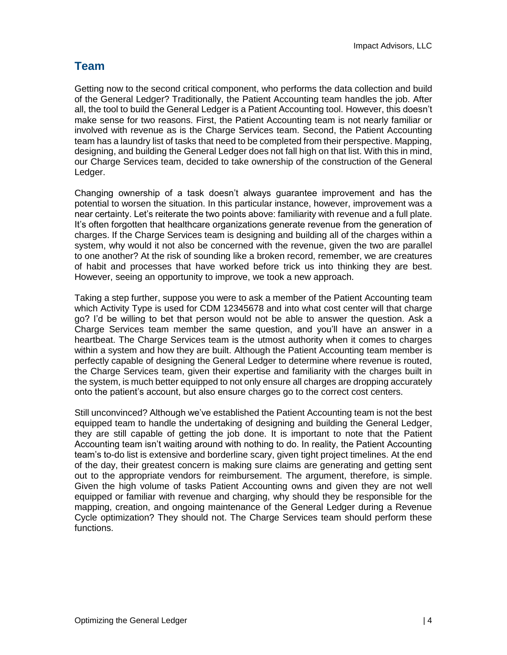# **Team**

Getting now to the second critical component, who performs the data collection and build of the General Ledger? Traditionally, the Patient Accounting team handles the job. After all, the tool to build the General Ledger is a Patient Accounting tool. However, this doesn't make sense for two reasons. First, the Patient Accounting team is not nearly familiar or involved with revenue as is the Charge Services team. Second, the Patient Accounting team has a laundry list of tasks that need to be completed from their perspective. Mapping, designing, and building the General Ledger does not fall high on that list. With this in mind, our Charge Services team, decided to take ownership of the construction of the General Ledger.

Changing ownership of a task doesn't always guarantee improvement and has the potential to worsen the situation. In this particular instance, however, improvement was a near certainty. Let's reiterate the two points above: familiarity with revenue and a full plate. It's often forgotten that healthcare organizations generate revenue from the generation of charges. If the Charge Services team is designing and building all of the charges within a system, why would it not also be concerned with the revenue, given the two are parallel to one another? At the risk of sounding like a broken record, remember, we are creatures of habit and processes that have worked before trick us into thinking they are best. However, seeing an opportunity to improve, we took a new approach.

Taking a step further, suppose you were to ask a member of the Patient Accounting team which Activity Type is used for CDM 12345678 and into what cost center will that charge go? I'd be willing to bet that person would not be able to answer the question. Ask a Charge Services team member the same question, and you'll have an answer in a heartbeat. The Charge Services team is the utmost authority when it comes to charges within a system and how they are built. Although the Patient Accounting team member is perfectly capable of designing the General Ledger to determine where revenue is routed, the Charge Services team, given their expertise and familiarity with the charges built in the system, is much better equipped to not only ensure all charges are dropping accurately onto the patient's account, but also ensure charges go to the correct cost centers.

Still unconvinced? Although we've established the Patient Accounting team is not the best equipped team to handle the undertaking of designing and building the General Ledger, they are still capable of getting the job done. It is important to note that the Patient Accounting team isn't waiting around with nothing to do. In reality, the Patient Accounting team's to-do list is extensive and borderline scary, given tight project timelines. At the end of the day, their greatest concern is making sure claims are generating and getting sent out to the appropriate vendors for reimbursement. The argument, therefore, is simple. Given the high volume of tasks Patient Accounting owns and given they are not well equipped or familiar with revenue and charging, why should they be responsible for the mapping, creation, and ongoing maintenance of the General Ledger during a Revenue Cycle optimization? They should not. The Charge Services team should perform these functions.